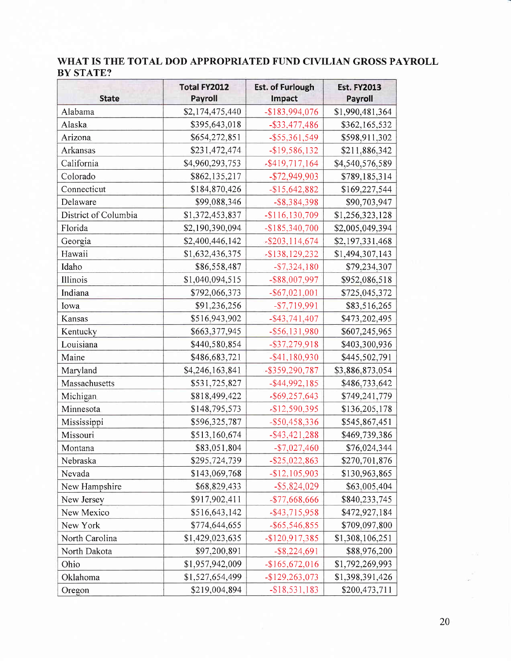## WHAT IS THE TOTAL DOD APPROPRIATED FUND CIVILIAN GROSS PAYROLL **BY STATE?**

| <b>State</b>         | <b>Total FY2012</b><br>Payroll | <b>Est. of Furlough</b><br>Impact | <b>Est. FY2013</b><br><b>Payroll</b> |
|----------------------|--------------------------------|-----------------------------------|--------------------------------------|
| Alabama              | \$2,174,475,440                | -\$183,994,076                    | \$1,990,481,364                      |
| Alaska               | \$395,643,018                  | $-$ \$33,477,486                  | \$362,165,532                        |
| Arizona              | \$654,272,851                  | $-$ \$55,361,549                  | \$598,911,302                        |
| Arkansas             | \$231,472,474                  | $-$ \$19,586,132                  | \$211,886,342                        |
| California           | \$4,960,293,753                | $-$ \$419,717,164                 | \$4,540,576,589                      |
| Colorado             | \$862,135,217                  | $-$72,949,903$                    | \$789,185,314                        |
| Connecticut          | \$184,870,426                  | $-$15,642,882$                    | \$169,227,544                        |
| Delaware             | \$99,088,346                   | $-$ \$8,384,398                   | \$90,703,947                         |
| District of Columbia | \$1,372,453,837                | $-$116,130,709$                   | \$1,256,323,128                      |
| Florida              | \$2,190,390,094                | $-$185,340,700$                   | \$2,005,049,394                      |
| Georgia              | \$2,400,446,142                | $-$ \$203,114,674                 | \$2,197,331,468                      |
| Hawaii               | \$1,632,436,375                | $-$ \$138,129,232                 | \$1,494,307,143                      |
| Idaho                | \$86,558,487                   | $- $7,324,180$                    | \$79,234,307                         |
| Illinois             | \$1,040,094,515                | -\$88,007,997                     | \$952,086,518                        |
| Indiana              | \$792,066,373                  | $-$ \$67,021,001                  | \$725,045,372                        |
| Iowa                 | \$91,236,256                   | $- $7,719,991$                    | \$83,516,265                         |
| Kansas               | \$516,943,902                  | $-$ \$43,741,407                  | \$473,202,495                        |
| Kentucky             | \$663,377,945                  | $-$ \$56,131,980                  | \$607,245,965                        |
| Louisiana            | \$440,580,854                  | $-$ \$37,279,918                  | \$403,300,936                        |
| Maine                | \$486,683,721                  | $-$ \$41,180,930                  | \$445,502,791                        |
| Maryland             | \$4,246,163,841                | -\$359,290,787                    | \$3,886,873,054                      |
| Massachusetts        | \$531,725,827                  | $-$ \$44,992,185                  | \$486,733,642                        |
| Michigan             | \$818,499,422                  | $-$ \$69,257,643                  | \$749,241,779                        |
| Minnesota            | \$148,795,573                  | $-$12,590,395$                    | \$136,205,178                        |
| Mississippi          | \$596,325,787                  | $-$ \$50,458,336                  | \$545,867,451                        |
| Missouri             | \$513,160,674                  | $-$ \$43,421,288                  | \$469,739,386                        |
| Montana              | \$83,051,804                   | $-$7,027,460$                     | \$76,024,344                         |
| Nebraska             | \$295,724,739                  | $-$ \$25,022,863                  | \$270,701,876                        |
| Nevada               | \$143,069,768                  | $-$12,105,903$                    | \$130,963,865                        |
| New Hampshire        | \$68,829,433                   | $-$ \$5,824,029                   | \$63,005,404                         |
| New Jersey           | \$917,902,411                  | $-$77,668,666$                    | \$840,233,745                        |
| New Mexico           | \$516,643,142                  | $-$ \$43,715,958                  | \$472,927,184                        |
| New York             | \$774,644,655                  | $-$ \$65,546,855                  | \$709,097,800                        |
| North Carolina       | \$1,429,023,635                | $-$120,917,385$                   | \$1,308,106,251                      |
| North Dakota         | \$97,200,891                   | $-$ \$8,224,691                   | \$88,976,200                         |
| Ohio                 | \$1,957,942,009                | $-$165,672,016$                   | \$1,792,269,993                      |
| Oklahoma             | \$1,527,654,499                | $-$129,263,073$                   | \$1,398,391,426                      |
| Oregon               | \$219,004,894                  | $-$ \$18,531,183                  | \$200,473,711                        |